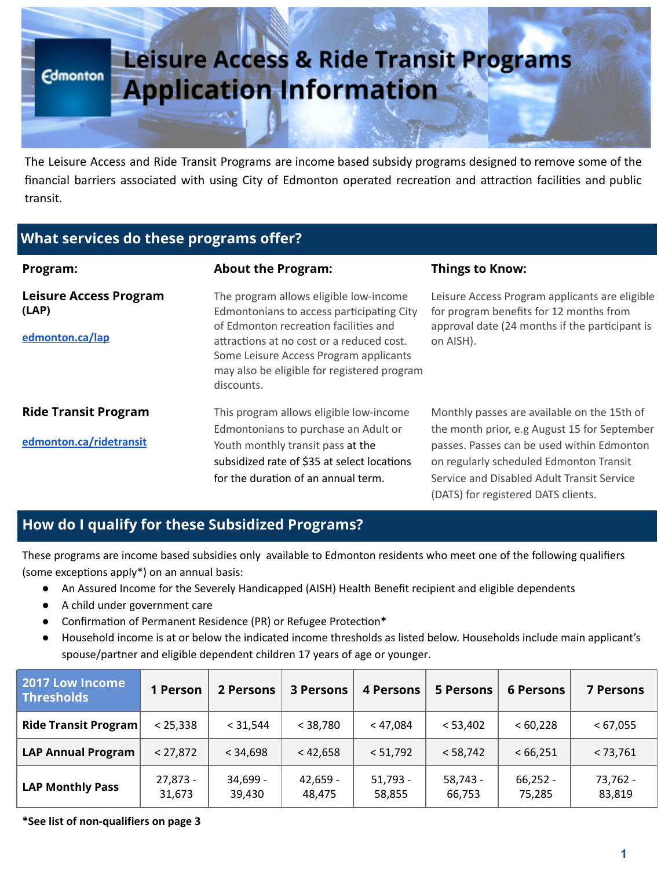

The Leisure Access and Ride Transit Programs are income based subsidy programs designed to remove some of the financial barriers associated with using City of Edmonton operated recreation and attraction facilities and public transit.

# What services do these programs offer?

| Program:                                                  | <b>About the Program:</b>                                                                                                                                                                                                                                                        | <b>Things to Know:</b>                                                                                                                                                                                                                                                    |
|-----------------------------------------------------------|----------------------------------------------------------------------------------------------------------------------------------------------------------------------------------------------------------------------------------------------------------------------------------|---------------------------------------------------------------------------------------------------------------------------------------------------------------------------------------------------------------------------------------------------------------------------|
| <b>Leisure Access Program</b><br>(LAP)<br>edmonton.ca/lap | The program allows eligible low-income<br>Edmontonians to access participating City<br>of Edmonton recreation facilities and<br>attractions at no cost or a reduced cost.<br>Some Leisure Access Program applicants<br>may also be eligible for registered program<br>discounts. | Leisure Access Program applicants are eligible<br>for program benefits for 12 months from<br>approval date (24 months if the participant is<br>on AISH).                                                                                                                  |
| <b>Ride Transit Program</b><br>edmonton.ca/ridetransit    | This program allows eligible low-income<br>Edmontonians to purchase an Adult or<br>Youth monthly transit pass at the<br>subsidized rate of \$35 at select locations<br>for the duration of an annual term.                                                                       | Monthly passes are available on the 15th of<br>the month prior, e.g August 15 for September<br>passes. Passes can be used within Edmonton<br>on regularly scheduled Edmonton Transit<br>Service and Disabled Adult Transit Service<br>(DATS) for registered DATS clients. |

# How do I qualify for these Subsidized Programs?

These programs are income based subsidies only available to Edmonton residents who meet one of the following qualifiers (some exceptions apply $*)$  on an annual basis:

- An Assured Income for the Severely Handicapped (AISH) Health Benefit recipient and eligible dependents
- A child under government care
- Confirmation of Permanent Residence (PR) or Refugee Protection\*
- Household income is at or below the indicated income thresholds as listed below. Households include main applicant's spouse/partner and eligible dependent children 17 years of age or younger.

| 2017 Low Income<br><b>Thresholds</b> | 1 Person           | 2 Persons          | <b>3 Persons</b>     | 4 Persons            | <b>5 Persons</b>     | <b>6 Persons</b>     | <b>7 Persons</b>   |
|--------------------------------------|--------------------|--------------------|----------------------|----------------------|----------------------|----------------------|--------------------|
| <b>Ride Transit Program</b>          | < 25,338           | < 31,544           | < 38,780             | < 47,084             | < 53,402             | < 60,228             | < 67,055           |
| <b>LAP Annual Program</b>            | < 27,872           | < 34,698           | < 42,658             | < 51,792             | < 58,742             | < 66,251             | < 73,761           |
| <b>LAP Monthly Pass</b>              | 27,873 -<br>31,673 | 34,699 -<br>39,430 | $42,659 -$<br>48,475 | $51,793 -$<br>58,855 | $58,743 -$<br>66,753 | $66,252 -$<br>75,285 | 73,762 -<br>83,819 |

\*See list of non-qualifiers on page 3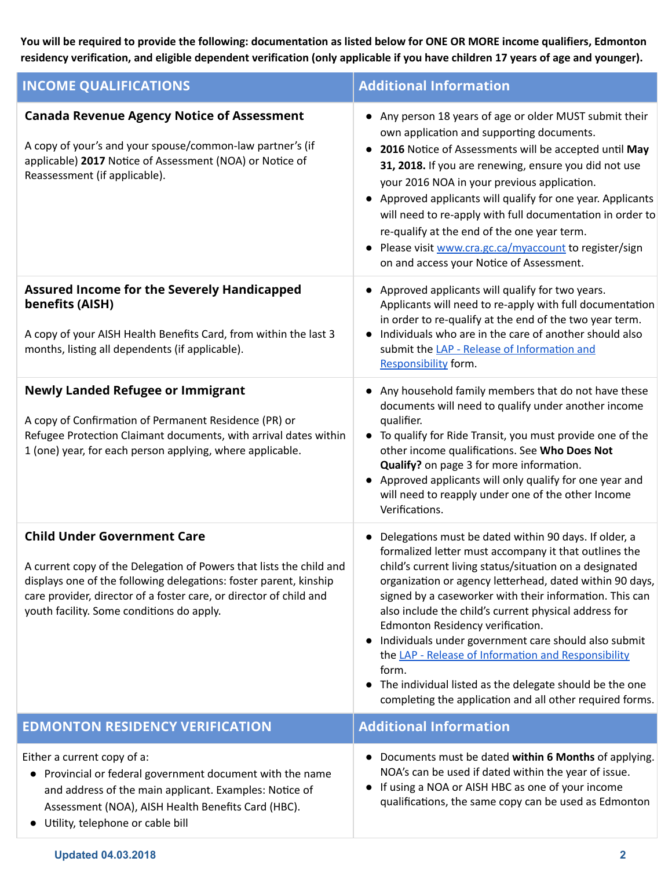You will be required to provide the following: documentation as listed below for ONE OR MORE income qualifiers, Edmonton residency verification, and eligible dependent verification (only applicable if you have children 17 years of age and younger).

| <b>INCOME QUALIFICATIONS</b>                                                                                                                                                                                                                                                                      | <b>Additional Information</b>                                                                                                                                                                                                                                                                                                                                                                                                                                                                                                                                                                                                                |  |  |  |
|---------------------------------------------------------------------------------------------------------------------------------------------------------------------------------------------------------------------------------------------------------------------------------------------------|----------------------------------------------------------------------------------------------------------------------------------------------------------------------------------------------------------------------------------------------------------------------------------------------------------------------------------------------------------------------------------------------------------------------------------------------------------------------------------------------------------------------------------------------------------------------------------------------------------------------------------------------|--|--|--|
| <b>Canada Revenue Agency Notice of Assessment</b><br>A copy of your's and your spouse/common-law partner's (if<br>applicable) 2017 Notice of Assessment (NOA) or Notice of<br>Reassessment (if applicable).                                                                                       | • Any person 18 years of age or older MUST submit their<br>own application and supporting documents.<br>2016 Notice of Assessments will be accepted until May<br>31, 2018. If you are renewing, ensure you did not use<br>your 2016 NOA in your previous application.<br>Approved applicants will qualify for one year. Applicants<br>will need to re-apply with full documentation in order to<br>re-qualify at the end of the one year term.<br>Please visit www.cra.gc.ca/myaccount to register/sign<br>on and access your Notice of Assessment.                                                                                          |  |  |  |
| <b>Assured Income for the Severely Handicapped</b><br>benefits (AISH)<br>A copy of your AISH Health Benefits Card, from within the last 3<br>months, listing all dependents (if applicable).                                                                                                      | Approved applicants will qualify for two years.<br>Applicants will need to re-apply with full documentation<br>in order to re-qualify at the end of the two year term.<br>Individuals who are in the care of another should also<br>submit the LAP - Release of Information and<br>Responsibility form.                                                                                                                                                                                                                                                                                                                                      |  |  |  |
| <b>Newly Landed Refugee or Immigrant</b><br>A copy of Confirmation of Permanent Residence (PR) or<br>Refugee Protection Claimant documents, with arrival dates within<br>1 (one) year, for each person applying, where applicable.                                                                | • Any household family members that do not have these<br>documents will need to qualify under another income<br>qualifier.<br>• To qualify for Ride Transit, you must provide one of the<br>other income qualifications. See Who Does Not<br>Qualify? on page 3 for more information.<br>Approved applicants will only qualify for one year and<br>will need to reapply under one of the other Income<br>Verifications.                                                                                                                                                                                                                      |  |  |  |
| <b>Child Under Government Care</b><br>A current copy of the Delegation of Powers that lists the child and<br>displays one of the following delegations: foster parent, kinship<br>care provider, director of a foster care, or director of child and<br>youth facility. Some conditions do apply. | Delegations must be dated within 90 days. If older, a<br>formalized letter must accompany it that outlines the<br>child's current living status/situation on a designated<br>organization or agency letterhead, dated within 90 days,<br>signed by a caseworker with their information. This can<br>also include the child's current physical address for<br>Edmonton Residency verification.<br>Individuals under government care should also submit<br>the LAP - Release of Information and Responsibility<br>form.<br>The individual listed as the delegate should be the one<br>completing the application and all other required forms. |  |  |  |
| <b>EDMONTON RESIDENCY VERIFICATION</b>                                                                                                                                                                                                                                                            | <b>Additional Information</b>                                                                                                                                                                                                                                                                                                                                                                                                                                                                                                                                                                                                                |  |  |  |
| Either a current copy of a:<br>Provincial or federal government document with the name<br>and address of the main applicant. Examples: Notice of<br>Assessment (NOA), AISH Health Benefits Card (HBC).<br>Utility, telephone or cable bill                                                        | Documents must be dated within 6 Months of applying.<br>NOA's can be used if dated within the year of issue.<br>If using a NOA or AISH HBC as one of your income<br>qualifications, the same copy can be used as Edmonton                                                                                                                                                                                                                                                                                                                                                                                                                    |  |  |  |

#### Updated 04.03.2018 2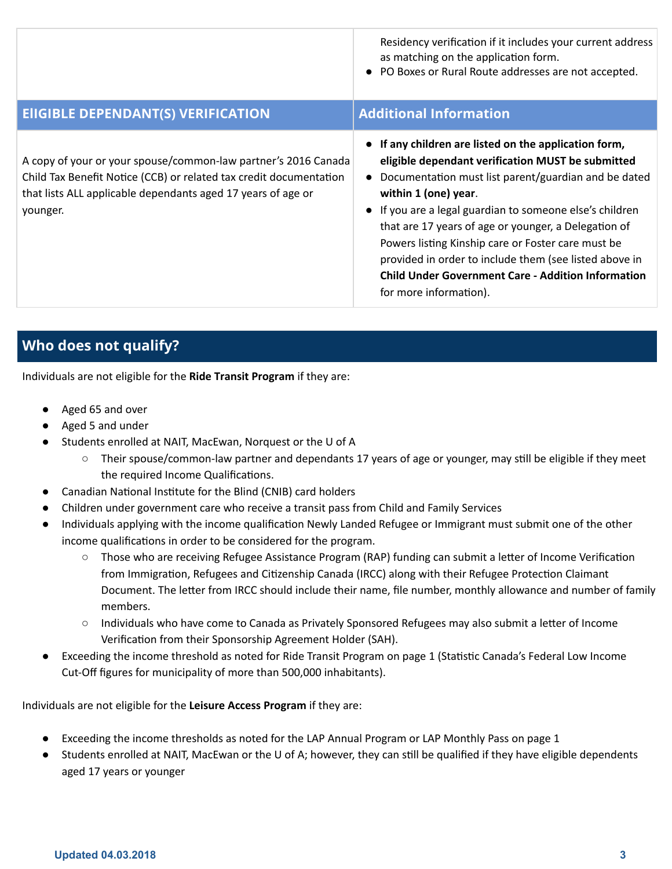|                                                                                                                                                                                                                  | Residency verification if it includes your current address<br>as matching on the application form.<br>• PO Boxes or Rural Route addresses are not accepted.                                                                                                                                                                                                                                                                                                                                                           |
|------------------------------------------------------------------------------------------------------------------------------------------------------------------------------------------------------------------|-----------------------------------------------------------------------------------------------------------------------------------------------------------------------------------------------------------------------------------------------------------------------------------------------------------------------------------------------------------------------------------------------------------------------------------------------------------------------------------------------------------------------|
| <b>ElIGIBLE DEPENDANT(S) VERIFICATION</b>                                                                                                                                                                        | <b>Additional Information</b>                                                                                                                                                                                                                                                                                                                                                                                                                                                                                         |
| A copy of your or your spouse/common-law partner's 2016 Canada<br>Child Tax Benefit Notice (CCB) or related tax credit documentation<br>that lists ALL applicable dependants aged 17 years of age or<br>younger. | • If any children are listed on the application form,<br>eligible dependant verification MUST be submitted<br>Documentation must list parent/guardian and be dated<br>within 1 (one) year.<br>• If you are a legal guardian to someone else's children<br>that are 17 years of age or younger, a Delegation of<br>Powers listing Kinship care or Foster care must be<br>provided in order to include them (see listed above in<br><b>Child Under Government Care - Addition Information</b><br>for more information). |

# Who does not qualify?

Individuals are not eligible for the Ride Transit Program if they are:

- Aged 65 and over
- Aged 5 and under
- Students enrolled at NAIT, MacEwan, Norquest or the U of A
	- Their spouse/common-law partner and dependants 17 years of age or younger, may still be eligible if they meet the required Income Qualifications.
- Canadian National Institute for the Blind (CNIB) card holders
- Children under government care who receive a transit pass from Child and Family Services
- Individuals applying with the income qualification Newly Landed Refugee or Immigrant must submit one of the other income qualifications in order to be considered for the program.
	- Those who are receiving Refugee Assistance Program (RAP) funding can submit a letter of Income Verification from Immigration, Refugees and Citizenship Canada (IRCC) along with their Refugee Protection Claimant Document. The letter from IRCC should include their name, file number, monthly allowance and number of family members.
	- Individuals who have come to Canada as Privately Sponsored Refugees may also submit a letter of Income Verification from their Sponsorship Agreement Holder (SAH).
- Exceeding the income threshold as noted for Ride Transit Program on page 1 (Statistic Canada's Federal Low Income Cut-Off figures for municipality of more than 500,000 inhabitants).

Individuals are not eligible for the Leisure Access Program if they are:

- Exceeding the income thresholds as noted for the LAP Annual Program or LAP Monthly Pass on page 1
- Students enrolled at NAIT, MacEwan or the U of A; however, they can still be qualified if they have eligible dependents aged 17 years or younger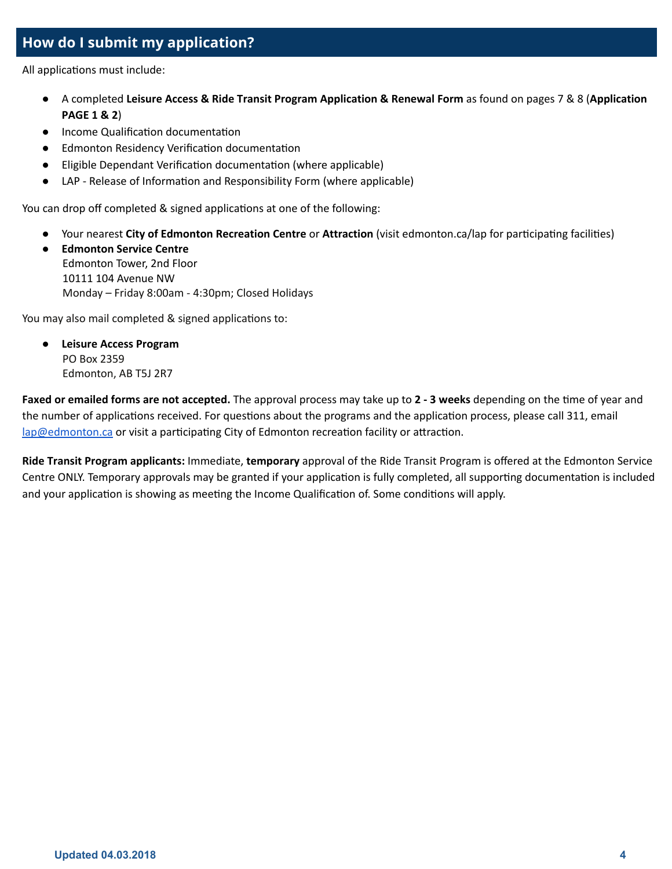## How do I submit my application?

All applications must include:

- A completed Leisure Access & Ride Transit Program Application & Renewal Form as found on pages 7 & 8 (Application PAGE 1 & 2)
- Income Qualification documentation
- Edmonton Residency Verification documentation
- Eligible Dependant Verification documentation (where applicable)
- LAP Release of Information and Responsibility Form (where applicable)

You can drop off completed & signed applications at one of the following:

- Your nearest City of Edmonton Recreation Centre or Attraction (visit edmonton.ca/lap for participating facilities)
- Edmonton Service Centre Edmonton Tower, 2nd Floor 10111 104 Avenue NW Monday – Friday 8:00am - 4:30pm; Closed Holidays

You may also mail completed & signed applications to:

**Leisure Access Program** PO Box 2359 Edmonton, AB T5J 2R7

Faxed or emailed forms are not accepted. The approval process may take up to 2 - 3 weeks depending on the time of year and the number of applications received. For questions about the programs and the application process, please call 311, email [lap@edmonton.ca](mailto:lap@edmonton.ca) or visit a participating City of Edmonton recreation facility or attraction.

Ride Transit Program applicants: Immediate, temporary approval of the Ride Transit Program is offered at the Edmonton Service Centre ONLY. Temporary approvals may be granted if your application is fully completed, all supporting documentation is included and your application is showing as meeting the Income Qualification of. Some conditions will apply.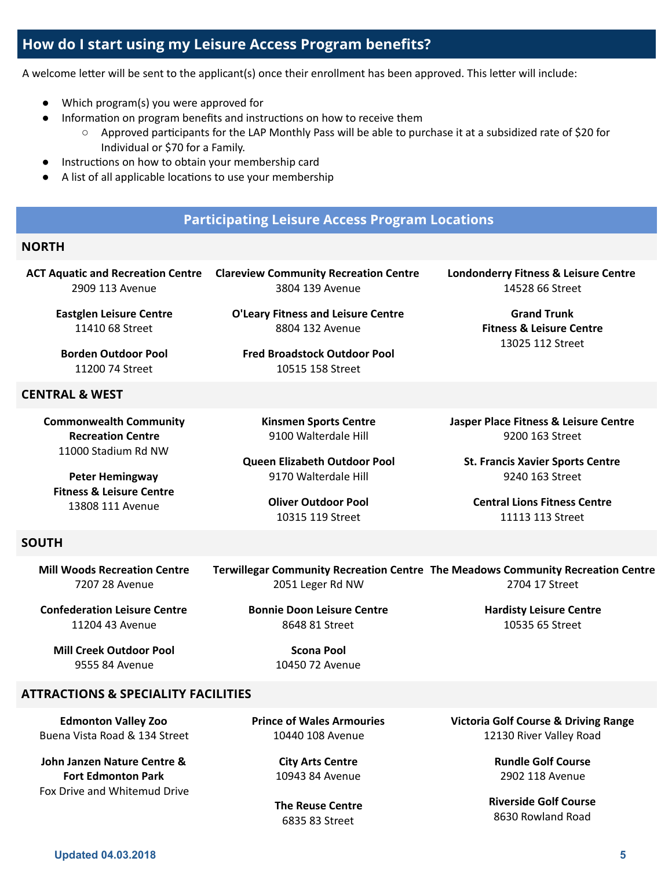## How do I start using my Leisure Access Program benefits?

A welcome letter will be sent to the applicant(s) once their enrollment has been approved. This letter will include:

- Which program(s) you were approved for
- Information on program benefits and instructions on how to receive them
	- Approved participants for the LAP Monthly Pass will be able to purchase it at a subsidized rate of \$20 for Individual or \$70 for a Family.
- Instructions on how to obtain your membership card
- A list of all applicable locations to use your membership

## Participating Leisure Access Program Locations

[O'Leary](https://www.edmonton.ca/activities_parks_recreation/oleary.aspx) Fitness and Leisure Centre 8804 132 Avenue

Fred Broadstock Outdoor Pool 10515 158 Street

> Kinsmen Sports Centre 9100 Walterdale Hill

Queen Elizabeth Outdoor Pool 9170 Walterdale Hill

> Oliver Outdoor Pool 10315 119 Street

### NORTH

ACT Aquatic and [Recreation](https://www.edmonton.ca/activities_parks_recreation/act.aspx) Centre Clareview [Community](https://www.edmonton.ca/activities_parks_recreation/clareview.aspx) Recreation Centre 2909 113 Avenue 3804 139 Avenue

Eastglen Leisure Centre 11410 68 Street

Borden Outdoor Pool 11200 74 Street

#### CENTRAL & WEST

[Commonwealth](https://www.edmonton.ca/activities_parks_recreation/commonwealth.aspx) Community [Recreation](https://www.edmonton.ca/activities_parks_recreation/commonwealth.aspx) Centre 11000 Stadium Rd NW

Peter Hemingway Fitness & Leisure Centre 13808 111 Avenue

SOUTH

Mill Woods [Recreation](https://www.edmonton.ca/activities_parks_recreation/mill-woods.aspx) Centre 7207 28 Avenue

Terwillegar [Community](https://www.edmonton.ca/activities_parks_recreation/meadows.aspx) Recreation Centre The Meadows Community Recreation Centre 2051 Leger Rd NW 2704 17 Street

[Confederation](https://www.edmonton.ca/activities_parks_recreation/confederation.aspx) Leisure Centre 11204 43 Avenue

Mill Creek Outdoor Pool 9555 84 Avenue

Bonnie Doon Leisure Centre 8648 81 Street

> Scona Pool 10450 72 Avenue

### ATTRACTIONS & SPECIALITY FACILITIES

Edmonton Valley Zoo Buena Vista Road & 134 Street

John Janzen Nature Centre & Fort Edmonton Park Fox Drive and Whitemud Drive Prince of Wales Armouries 10440 108 Avenue

> City Arts Centre 10943 84 Avenue

The Reuse Centre 6835 83 Street

Victoria Golf Course & Driving Range 12130 River Valley Road

> Rundle Golf Course 2902 118 Avenue

Riverside Golf Course 8630 Rowland Road

Londonderry Fitness & Leisure Centre 14528 66 Street

> Grand Trunk Fitness & Leisure Centre 13025 112 Street

Jasper Place Fitness & Leisure Centre 9200 163 Street

St. Francis Xavier Sports Centre 9240 163 Street

Central Lions Fitness Centre 11113 113 Street

Hardisty Leisure Centre 10535 65 Street

Updated 04.03.2018 5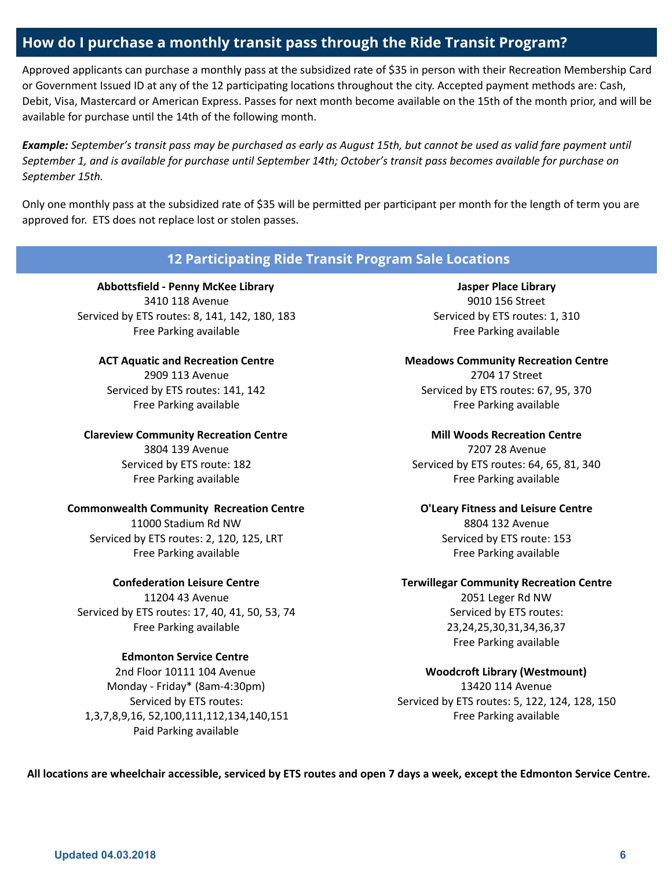## How do I purchase a monthly transit pass through the Ride Transit Program?

Approved applicants can purchase a monthly pass at the subsidized rate of \$35 in person with their Recreation Membership Card or Government Issued ID at any of the 12 participating locations throughout the city. Accepted payment methods are: Cash, Debit, Visa, Mastercard or American Express. Passes for next month become available on the 15th of the month prior, and will be available for purchase until the 14th of the following month.

Example: September's transit pass may be purchased as early as August 15th, but cannot be used as valid fare payment until September 1, and is available for purchase until September 14th; October's transit pass becomes available for purchase on September 15th.

Only one monthly pass at the subsidized rate of \$35 will be permitted per participant per month for the length of term you are approved for. ETS does not replace lost or stolen passes.

## 12 Participating Ride Transit Program Sale Locations

[Abbottsfield](https://www.epl.ca/locations/EPLABB/) - Penny McKee Library 3410 118 Avenue Serviced by ETS routes: 8, 141, 142, 180, 183 Free Parking available

ACT Aquatic and [Recreation](https://www.edmonton.ca/activities_parks_recreation/act.aspx) Centre 2909 113 Avenue Serviced by ETS routes: 141, 142 Free Parking available

Clareview [Community](https://www.edmonton.ca/activities_parks_recreation/clareview.aspx) Recreation Centre 3804 139 Avenue Serviced by ETS route: 182 Free Parking available

#### [Commonwealth](https://www.edmonton.ca/activities_parks_recreation/commonwealth.aspx) Community Recreation Centre

11000 Stadium Rd NW Serviced by ETS routes: 2, 120, 125, LRT Free Parking available

#### [Confederation](https://www.edmonton.ca/activities_parks_recreation/confederation.aspx) Leisure Centre

11204 43 Avenue Serviced by ETS routes: 17, 40, 41, 50, 53, 74 Free Parking available

#### [Edmonton](https://www.edmonton.ca/programs_services/edmonton-service-centre.aspx) Service Centre

2nd Floor 10111 104 Avenue Monday - Friday\* (8am-4:30pm) Serviced by ETS routes: 1,3,7,8,9,16, 52,100,111,112,134,140,151 Paid Parking available

Jasper Place [Library](https://www.epl.ca/locations/EPLJPL/) 9010 156 Street Serviced by ETS routes: 1, 310 Free Parking available

Meadows [Community](https://www.edmonton.ca/activities_parks_recreation/meadows.aspx) Recreation Centre 2704 17 Street Serviced by ETS routes: 67, 95, 370 Free Parking available

> Mill Woods [Recreation](https://www.edmonton.ca/activities_parks_recreation/mill-woods.aspx) Centre 7207 28 Avenue

Serviced by ETS routes: 64, 65, 81, 340 Free Parking available

[O'Leary](https://www.edmonton.ca/activities_parks_recreation/oleary.aspx) Fitness and Leisure Centre 8804 132 Avenue Serviced by ETS route: 153 Free Parking available

Terwillegar [Community](https://www.edmonton.ca/activities_parks_recreation/terwillegar.aspx) Recreation Centre 2051 Leger Rd NW

Serviced by ETS routes: 23,24,25,30,31,34,36,37 Free Parking available

Woodcroft Library [\(Westmount\)](https://www.epl.ca/locations/EPLWOO/) 13420 114 Avenue Serviced by ETS routes: 5, 122, 124, 128, 150 Free Parking available

All locations are wheelchair accessible, serviced by ETS routes and open 7 days a week, except the Edmonton Service Centre.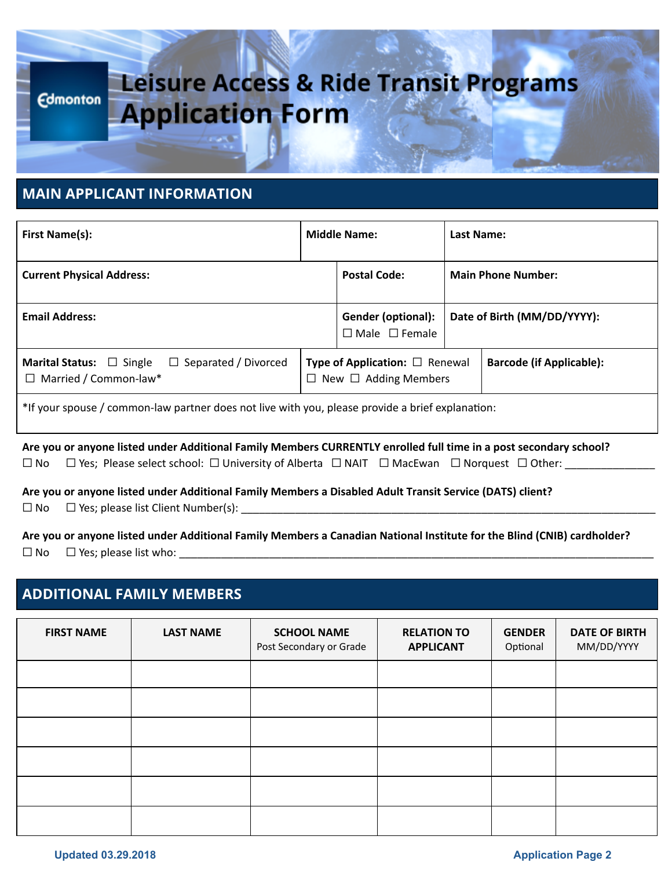# Leisure Access & Ride Transit Programs **Edmonton Application Form**

## MAIN APPLICANT INFORMATION

| <b>First Name(s):</b>                                                                               |                                                                                | <b>Middle Name:</b>                                    |                             | Last Name:                      |  |
|-----------------------------------------------------------------------------------------------------|--------------------------------------------------------------------------------|--------------------------------------------------------|-----------------------------|---------------------------------|--|
| <b>Current Physical Address:</b>                                                                    |                                                                                | <b>Postal Code:</b>                                    |                             | <b>Main Phone Number:</b>       |  |
| <b>Email Address:</b>                                                                               |                                                                                | <b>Gender (optional):</b><br>$\Box$ Male $\Box$ Female | Date of Birth (MM/DD/YYYY): |                                 |  |
| $\Box$ Separated / Divorced<br><b>Marital Status:</b> $\Box$ Single<br>$\Box$ Married / Common-law* | <b>Type of Application:</b> $\Box$ Renewal<br>$\Box$ New $\Box$ Adding Members |                                                        |                             | <b>Barcode (if Applicable):</b> |  |
| *If your spouse / common-law partner does not live with you, please provide a brief explanation:    |                                                                                |                                                        |                             |                                 |  |

Are you or anyone listed under Additional Family Members CURRENTLY enrolled full time in a post secondary school?  $\Box$  No  $\Box$  Yes; Please select school:  $\Box$  University of Alberta  $\Box$  NAIT  $\Box$  MacEwan  $\Box$  Norquest  $\Box$  Other: \_\_\_\_\_\_\_\_\_

Are you or anyone listed under Additional Family Members a Disabled Adult Transit Service (DATS) client?

 $\square$  No  $\square$  Yes; please list Client Number(s):

Are you or anyone listed under Additional Family Members a Canadian National Institute for the Blind (CNIB) cardholder?  $\square$  No  $\square$  Yes; please list who:

# ADDITIONAL FAMILY MEMBERS

| <b>FIRST NAME</b> | <b>LAST NAME</b> | <b>SCHOOL NAME</b><br>Post Secondary or Grade | <b>RELATION TO</b><br><b>APPLICANT</b> | <b>GENDER</b><br>Optional | <b>DATE OF BIRTH</b><br>MM/DD/YYYY |
|-------------------|------------------|-----------------------------------------------|----------------------------------------|---------------------------|------------------------------------|
|                   |                  |                                               |                                        |                           |                                    |
|                   |                  |                                               |                                        |                           |                                    |
|                   |                  |                                               |                                        |                           |                                    |
|                   |                  |                                               |                                        |                           |                                    |
|                   |                  |                                               |                                        |                           |                                    |
|                   |                  |                                               |                                        |                           |                                    |